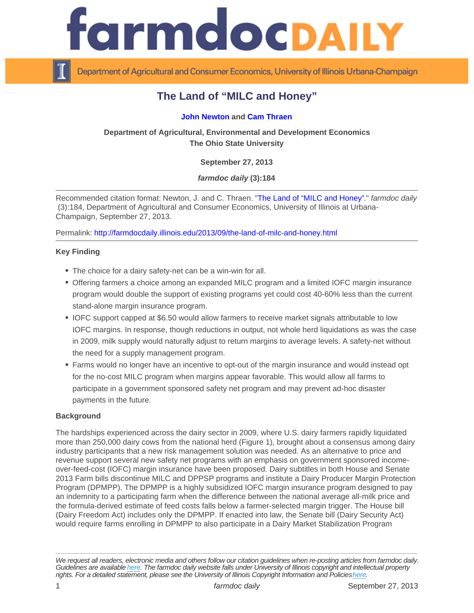# The Land of "MILC and Honey"

## [John Newton](http://aede.osu.edu/our-people/john-newton) and [Cam Thraen](http://aede.osu.edu/our-people/cameron-thraen)

Department of Agricultural, Environmental and Development Economics The Ohio State University

September 27, 2013

farmdoc daily (3):184

Recommended citation format: Newton, J. and C. Thraen. "[The Land of "MILC and Honey"](http://farmdocdaily.illinois.edu/2013/09/the-land-of-milc-and-honey.html)." farmdoc daily (3):184, Department of Agricultural and Consumer Economics, University of Illinois at Urbana-Champaign, September 27, 2013.

Permalink:<http://farmdocdaily.illinois.edu/2013/09/the-land-of-milc-and-honey.html>

Key Finding

- The choice for a dairy safety-net can be a win-win for all.
- Offering farmers a choice among an expanded MILC program and a limited IOFC margin insurance program would double the support of existing programs yet could cost 40-60% less than the current stand-alone margin insurance program.
- IOFC support capped at \$6.50 would allow farmers to receive market signals attributable to low IOFC margins. In response, though reductions in output, not whole herd liquidations as was the case in 2009, milk supply would naturally adjust to return margins to average levels. A safety-net without the need for a supply management program.
- Farms would no longer have an incentive to opt-out of the margin insurance and would instead opt for the no-cost MILC program when margins appear favorable. This would allow all farms to participate in a government sponsored safety net program and may prevent ad-hoc disaster payments in the future.

#### **Background**

The hardships experienced across the dairy sector in 2009, where U.S. dairy farmers rapidly liquidated more than 250,000 dairy cows from the national herd (Figure 1), brought about a consensus among dairy industry participants that a new risk management solution was needed. As an alternative to price and revenue support several new safety net programs with an emphasis on government sponsored incomeover-feed-cost (IOFC) margin insurance have been proposed. Dairy subtitles in both House and Senate 2013 Farm bills discontinue MILC and DPPSP programs and institute a Dairy Producer Margin Protection Program (DPMPP). The DPMPP is a highly subsidized IOFC margin insurance program designed to pay an indemnity to a participating farm when the difference between the national average all-milk price and the formula-derived estimate of feed costs falls below a farmer-selected margin trigger. The House bill (Dairy Freedom Act) includes only the DPMPP. If enacted into law, the Senate bill (Dairy Security Act) would require farms enrolling in DPMPP to also participate in a Dairy Market Stabilization Program

We request all readers, electronic media and others follow our citation guidelines when re-posting articles from farmdoc daily. Guidelines are available [here](http://farmdocdaily.illinois.edu/citationguide.html). The farmdoc daily website falls under University of Illinois copyright and intellectual property rights. For a detailed statement, please see the University of Illinois Copyright Information and Policies [here.](https://techservices.illinois.edu/office-cio)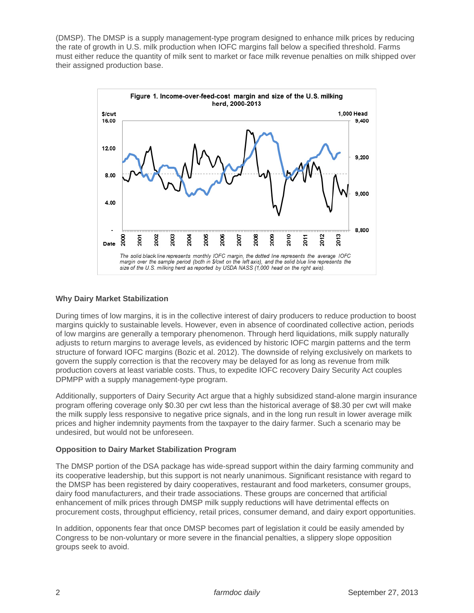(DMSP). The DMSP is a supply management-type program designed to enhance milk prices by reducing the rate of growth in U.S. milk production when IOFC margins fall below a specified threshold. Farms must either reduce the quantity of milk sent to market or face milk revenue penalties on milk shipped over their assigned production base.



### **Why Dairy Market Stabilization**

During times of low margins, it is in the collective interest of dairy producers to reduce production to boost margins quickly to sustainable levels. However, even in absence of coordinated collective action, periods of low margins are generally a temporary phenomenon. Through herd liquidations, milk supply naturally adjusts to return margins to average levels, as evidenced by historic IOFC margin patterns and the term structure of forward IOFC margins (Bozic et al. 2012). The downside of relying exclusively on markets to govern the supply correction is that the recovery may be delayed for as long as revenue from milk production covers at least variable costs. Thus, to expedite IOFC recovery Dairy Security Act couples DPMPP with a supply management-type program.

Additionally, supporters of Dairy Security Act argue that a highly subsidized stand-alone margin insurance program offering coverage only \$0.30 per cwt less than the historical average of \$8.30 per cwt will make the milk supply less responsive to negative price signals, and in the long run result in lower average milk prices and higher indemnity payments from the taxpayer to the dairy farmer. Such a scenario may be undesired, but would not be unforeseen.

#### **Opposition to Dairy Market Stabilization Program**

The DMSP portion of the DSA package has wide-spread support within the dairy farming community and its cooperative leadership, but this support is not nearly unanimous. Significant resistance with regard to the DMSP has been registered by dairy cooperatives, restaurant and food marketers, consumer groups, dairy food manufacturers, and their trade associations. These groups are concerned that artificial enhancement of milk prices through DMSP milk supply reductions will have detrimental effects on procurement costs, throughput efficiency, retail prices, consumer demand, and dairy export opportunities.

In addition, opponents fear that once DMSP becomes part of legislation it could be easily amended by Congress to be non-voluntary or more severe in the financial penalties, a slippery slope opposition groups seek to avoid.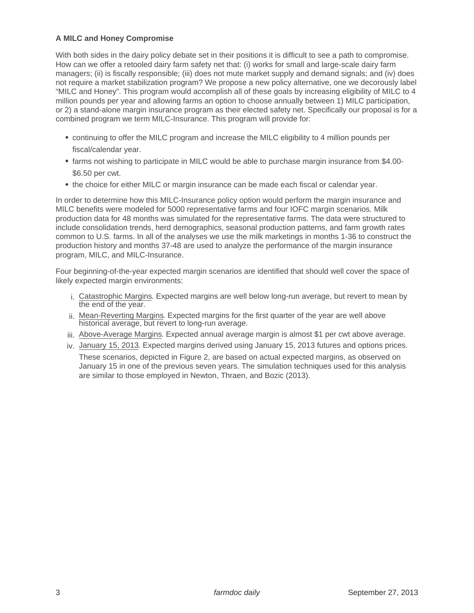## **A MILC and Honey Compromise**

With both sides in the dairy policy debate set in their positions it is difficult to see a path to compromise. How can we offer a retooled dairy farm safety net that: (i) works for small and large-scale dairy farm managers; (ii) is fiscally responsible; (iii) does not mute market supply and demand signals; and (iv) does not require a market stabilization program? We propose a new policy alternative, one we decorously label "MILC and Honey". This program would accomplish all of these goals by increasing eligibility of MILC to 4 million pounds per year and allowing farms an option to choose annually between 1) MILC participation, or 2) a stand-alone margin insurance program as their elected safety net. Specifically our proposal is for a combined program we term MILC-Insurance. This program will provide for:

- continuing to offer the MILC program and increase the MILC eligibility to 4 million pounds per fiscal/calendar year.
- farms not wishing to participate in MILC would be able to purchase margin insurance from \$4.00- \$6.50 per cwt.
- the choice for either MILC or margin insurance can be made each fiscal or calendar year.

In order to determine how this MILC-Insurance policy option would perform the margin insurance and MILC benefits were modeled for 5000 representative farms and four IOFC margin scenarios. Milk production data for 48 months was simulated for the representative farms. The data were structured to include consolidation trends, herd demographics, seasonal production patterns, and farm growth rates common to U.S. farms. In all of the analyses we use the milk marketings in months 1-36 to construct the production history and months 37-48 are used to analyze the performance of the margin insurance program, MILC, and MILC-Insurance.

Four beginning-of-the-year expected margin scenarios are identified that should well cover the space of likely expected margin environments:

- i. Catastrophic Margins. Expected margins are well below long-run average, but revert to mean by the end of the year.
- ii. Mean-Reverting Margins. Expected margins for the first quarter of the year are well above historical average, but revert to long-run average.
- iii. Above-Average Margins. Expected annual average margin is almost \$1 per cwt above average.
- iv. January 15, 2013. Expected margins derived using January 15, 2013 futures and options prices.

These scenarios, depicted in Figure 2, are based on actual expected margins, as observed on January 15 in one of the previous seven years. The simulation techniques used for this analysis are similar to those employed in Newton, Thraen, and Bozic (2013).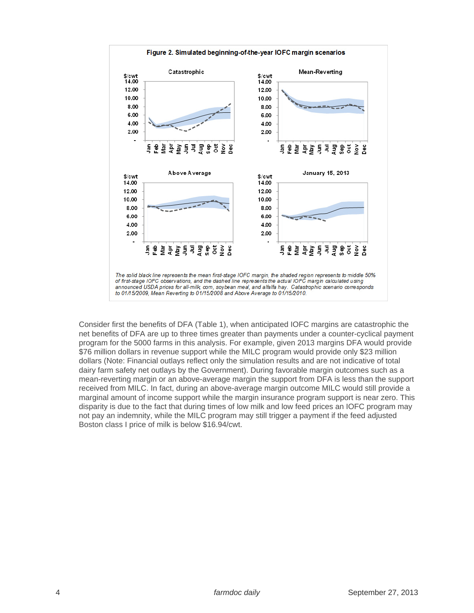

Consider first the benefits of DFA (Table 1), when anticipated IOFC margins are catastrophic the net benefits of DFA are up to three times greater than payments under a counter-cyclical payment program for the 5000 farms in this analysis. For example, given 2013 margins DFA would provide \$76 million dollars in revenue support while the MILC program would provide only \$23 million dollars (Note: Financial outlays reflect only the simulation results and are not indicative of total dairy farm safety net outlays by the Government). During favorable margin outcomes such as a mean-reverting margin or an above-average margin the support from DFA is less than the support received from MILC. In fact, during an above-average margin outcome MILC would still provide a marginal amount of income support while the margin insurance program support is near zero. This disparity is due to the fact that during times of low milk and low feed prices an IOFC program may not pay an indemnity, while the MILC program may still trigger a payment if the feed adjusted Boston class I price of milk is below \$16.94/cwt.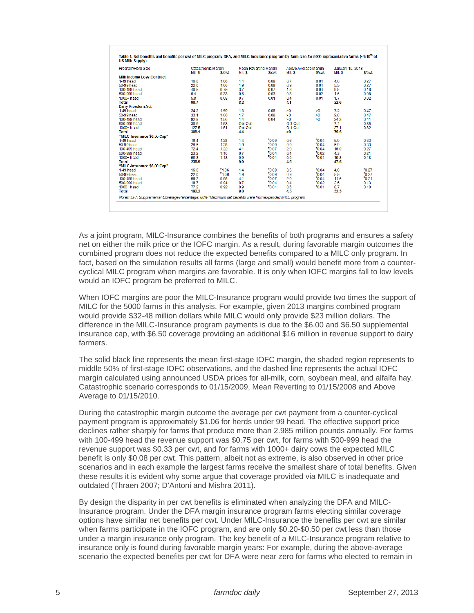| Program/Herd Size                | Catastrophic Margin |         | Mean Reverting Margin |                   | Above Average Margin |            | January 15, 2013 |          |
|----------------------------------|---------------------|---------|-----------------------|-------------------|----------------------|------------|------------------|----------|
|                                  | Mil. S              | \$/cwt  | Mil. S                | S/cwt.            | Mil. S               | S/cwt.     | Mil. S           | S/cwt.   |
| <b>Milk Income Loss Contract</b> |                     |         |                       |                   |                      |            |                  |          |
| $1-49$ head                      | 160                 | 1.06    | 1.4                   | 0.09              | 07                   | 0.04       | 4.0              | 0.27     |
| 50-99 head                       | 22.0                | 1.06    | 1.9                   | 0.09              | 0.9                  | 0.04       | 5.5              | 0.27     |
| 100-499 head                     | 40.5                | 0.75    | 37                    | 0.07              | 1.8                  | 0.03       | 9.8              | 0.18     |
| 500-999 head                     | 6.4                 | 0.33    | 0.6                   | 0.03              | 0.3                  | 0.02       | 1.6              | 0.08     |
| $1000+head$                      | 5.8                 | 0.08    | 0.7                   | 0.01              | 0.4                  | 0.01       | 1.7              | 0.02     |
| <b>Total</b>                     | 90.7                |         | 8.2                   |                   | 4.1                  |            | 22.6             |          |
| Dairy Freedom Act                |                     |         |                       |                   |                      |            |                  |          |
| $1-49$ head                      | 24.2                | 1.59    | 1.3                   | 0.08              | >0                   | $\geq 0$   | 7.2              | 0.47     |
| 50-99 head                       | 33.1                | 1.60    | 1.7                   | 0.08              | >0                   | $\geq 0$   | 9.8              | 0.47     |
| 100-499 head                     | 92.8                | 1.56    | 1.4                   | 0.04              | >0                   | $\geq 0$   | 24.3             | 0.41     |
| 500-999 head                     | 30.5                | 1.53    | Opt-Out               |                   | Opt-Out              |            | 7.1              | 0.35     |
| $1000+$ head                     | 127.5               | 1.51    | Opt-Out               |                   | Opt-Out              |            | 27.1             | 0.32     |
| <b>Total</b>                     | 308.1               |         | 4.4                   |                   | >0                   |            | 75.5             |          |
| "MILC Insurance \$6.50 Cap"      |                     |         |                       |                   |                      |            |                  |          |
| $1-49$ head                      | 19.4                | 1.28    | 1.4                   | $-0.09$           | 0.6                  | "0.04"     | 5.0              | 0.33     |
| 50-99 head                       | 26.6                | 1.28    | 1.9                   | 70.09             | 0.9                  | $*0.04$    | 6.9              | 0.33     |
| 100-499 head                     | 72.4                | 1.22    | 4.1                   | 70.07             | 2.0                  | 70.04      | 16.0             | 0.27     |
| 500-999 head                     | 23.2                | 1.16    | 0.7                   | 70.04             | 0.4                  | "0.02"     | 4.3              | 0.21     |
| 1000+ head                       | 95.3                | 1.13    | 0.9                   | 70.01             | 0.6                  | "0.01"     | 15.3             | 0.18     |
| <b>Total</b>                     | 236.9               |         | 9.0                   |                   | 4.5                  |            | 47.5             |          |
| "MILC Insurance \$6.00 Cap"      |                     |         |                       |                   |                      |            |                  |          |
| $1-49$ head                      | 16.0                | $*1.06$ | 14                    | <sup>7</sup> 0.09 | 0.6                  | 70.04      | 4.0              | $-0.27$  |
| 50-99 head                       | 22.0                | $*1.06$ | 1.9                   | $-0.09$           | 0.9                  | "0.04"     | 5.5              | $-0.27$  |
| 100-499 head                     | 58.3                | 0.98    | 4.1                   | 70.07             | 20                   | 70.04      | 11.6             | $F_0$ 21 |
| 500-999 head                     | 18.7                | 0.94    | 07                    | $-0.04$           | 0.4                  | $*_{0.02}$ | 25               | 0.13     |
| $1000+$ head                     | 77.2                | 0.92    | 0.9                   | 70.01             | 0.6                  | 70.01      | 8.7              | 0.10     |
| <b>Total</b>                     | 192.2               |         | 9.0                   |                   | 4.5                  |            | 32.3             |          |

As a joint program, MILC-Insurance combines the benefits of both programs and ensures a safety net on either the milk price or the IOFC margin. As a result, during favorable margin outcomes the combined program does not reduce the expected benefits compared to a MILC only program. In fact, based on the simulation results all farms (large and small) would benefit more from a countercyclical MILC program when margins are favorable. It is only when IOFC margins fall to low levels would an IOFC program be preferred to MILC.

When IOFC margins are poor the MILC-Insurance program would provide two times the support of MILC for the 5000 farms in this analysis. For example, given 2013 margins combined program would provide \$32-48 million dollars while MILC would only provide \$23 million dollars. The difference in the MILC-Insurance program payments is due to the \$6.00 and \$6.50 supplemental insurance cap, with \$6.50 coverage providing an additional \$16 million in revenue support to dairy farmers.

The solid black line represents the mean first-stage IOFC margin, the shaded region represents to middle 50% of first-stage IOFC observations, and the dashed line represents the actual IOFC margin calculated using announced USDA prices for all-milk, corn, soybean meal, and alfalfa hay. Catastrophic scenario corresponds to 01/15/2009, Mean Reverting to 01/15/2008 and Above Average to 01/15/2010.

During the catastrophic margin outcome the average per cwt payment from a counter-cyclical payment program is approximately \$1.06 for herds under 99 head. The effective support price declines rather sharply for farms that produce more than 2.985 million pounds annually. For farms with 100-499 head the revenue support was \$0.75 per cwt, for farms with 500-999 head the revenue support was \$0.33 per cwt, and for farms with 1000+ dairy cows the expected MILC benefit is only \$0.08 per cwt. This pattern, albeit not as extreme, is also observed in other price scenarios and in each example the largest farms receive the smallest share of total benefits. Given these results it is evident why some argue that coverage provided via MILC is inadequate and outdated (Thraen 2007; D'Antoni and Mishra 2011).

By design the disparity in per cwt benefits is eliminated when analyzing the DFA and MILC-Insurance program. Under the DFA margin insurance program farms electing similar coverage options have similar net benefits per cwt. Under MILC-Insurance the benefits per cwt are similar when farms participate in the IOFC program, and are only \$0.20-\$0.50 per cwt less than those under a margin insurance only program. The key benefit of a MILC-Insurance program relative to insurance only is found during favorable margin years: For example, during the above-average scenario the expected benefits per cwt for DFA were near zero for farms who elected to remain in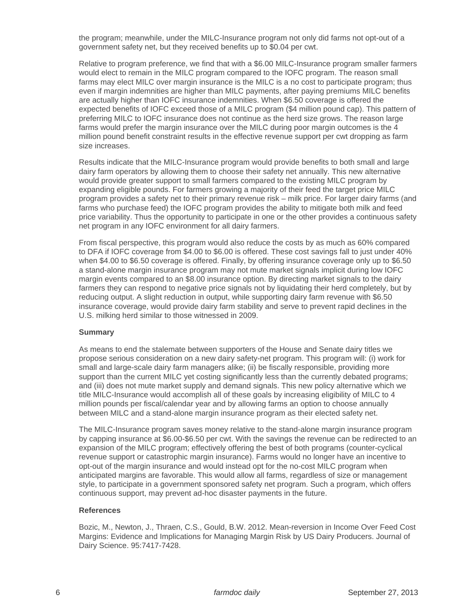the program; meanwhile, under the MILC-Insurance program not only did farms not opt-out of a government safety net, but they received benefits up to \$0.04 per cwt.

Relative to program preference, we find that with a \$6.00 MILC-Insurance program smaller farmers would elect to remain in the MILC program compared to the IOFC program. The reason small farms may elect MILC over margin insurance is the MILC is a no cost to participate program; thus even if margin indemnities are higher than MILC payments, after paying premiums MILC benefits are actually higher than IOFC insurance indemnities. When \$6.50 coverage is offered the expected benefits of IOFC exceed those of a MILC program (\$4 million pound cap). This pattern of preferring MILC to IOFC insurance does not continue as the herd size grows. The reason large farms would prefer the margin insurance over the MILC during poor margin outcomes is the 4 million pound benefit constraint results in the effective revenue support per cwt dropping as farm size increases.

Results indicate that the MILC-Insurance program would provide benefits to both small and large dairy farm operators by allowing them to choose their safety net annually. This new alternative would provide greater support to small farmers compared to the existing MILC program by expanding eligible pounds. For farmers growing a majority of their feed the target price MILC program provides a safety net to their primary revenue risk – milk price. For larger dairy farms (and farms who purchase feed) the IOFC program provides the ability to mitigate both milk and feed price variability. Thus the opportunity to participate in one or the other provides a continuous safety net program in any IOFC environment for all dairy farmers.

From fiscal perspective, this program would also reduce the costs by as much as 60% compared to DFA if IOFC coverage from \$4.00 to \$6.00 is offered. These cost savings fall to just under 40% when \$4.00 to \$6.50 coverage is offered. Finally, by offering insurance coverage only up to \$6.50 a stand-alone margin insurance program may not mute market signals implicit during low IOFC margin events compared to an \$8.00 insurance option. By directing market signals to the dairy farmers they can respond to negative price signals not by liquidating their herd completely, but by reducing output. A slight reduction in output, while supporting dairy farm revenue with \$6.50 insurance coverage, would provide dairy farm stability and serve to prevent rapid declines in the U.S. milking herd similar to those witnessed in 2009.

## **Summary**

As means to end the stalemate between supporters of the House and Senate dairy titles we propose serious consideration on a new dairy safety-net program. This program will: (i) work for small and large-scale dairy farm managers alike; (ii) be fiscally responsible, providing more support than the current MILC yet costing significantly less than the currently debated programs; and (iii) does not mute market supply and demand signals. This new policy alternative which we title MILC-Insurance would accomplish all of these goals by increasing eligibility of MILC to 4 million pounds per fiscal/calendar year and by allowing farms an option to choose annually between MILC and a stand-alone margin insurance program as their elected safety net.

The MILC-Insurance program saves money relative to the stand-alone margin insurance program by capping insurance at \$6.00-\$6.50 per cwt. With the savings the revenue can be redirected to an expansion of the MILC program; effectively offering the best of both programs (counter-cyclical revenue support or catastrophic margin insurance). Farms would no longer have an incentive to opt-out of the margin insurance and would instead opt for the no-cost MILC program when anticipated margins are favorable. This would allow all farms, regardless of size or management style, to participate in a government sponsored safety net program. Such a program, which offers continuous support, may prevent ad-hoc disaster payments in the future.

#### **References**

Bozic, M., Newton, J., Thraen, C.S., Gould, B.W. 2012. Mean-reversion in Income Over Feed Cost Margins: Evidence and Implications for Managing Margin Risk by US Dairy Producers. Journal of Dairy Science. 95:7417-7428.